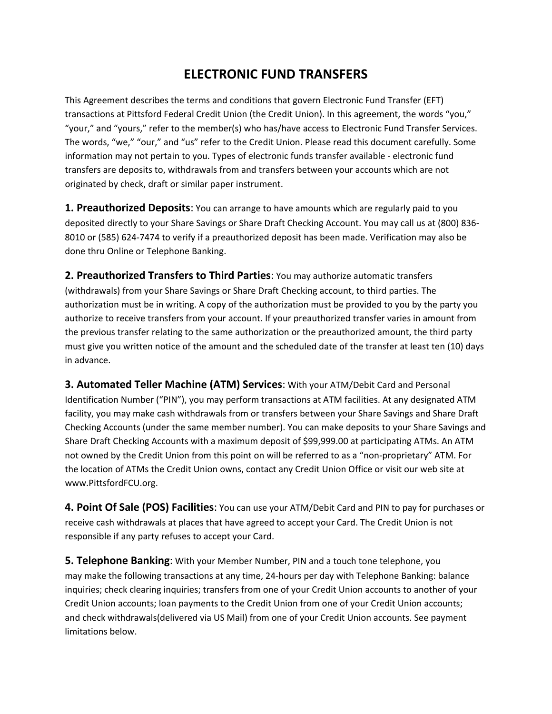## **ELECTRONIC FUND TRANSFERS**

This Agreement describes the terms and conditions that govern Electronic Fund Transfer (EFT) transactions at Pittsford Federal Credit Union (the Credit Union). In this agreement, the words "you," "your," and "yours," refer to the member(s) who has/have access to Electronic Fund Transfer Services. The words, "we," "our," and "us" refer to the Credit Union. Please read this document carefully. Some information may not pertain to you. Types of electronic funds transfer available ‐ electronic fund transfers are deposits to, withdrawals from and transfers between your accounts which are not originated by check, draft or similar paper instrument.

**1. Preauthorized Deposits**: You can arrange to have amounts which are regularly paid to you deposited directly to your Share Savings or Share Draft Checking Account. You may call us at (800) 836‐ 8010 or (585) 624‐7474 to verify if a preauthorized deposit has been made. Verification may also be done thru Online or Telephone Banking.

**2. Preauthorized Transfers to Third Parties**: You may authorize automatic transfers (withdrawals) from your Share Savings or Share Draft Checking account, to third parties. The authorization must be in writing. A copy of the authorization must be provided to you by the party you authorize to receive transfers from your account. If your preauthorized transfer varies in amount from the previous transfer relating to the same authorization or the preauthorized amount, the third party must give you written notice of the amount and the scheduled date of the transfer at least ten (10) days in advance.

**3. Automated Teller Machine (ATM) Services**: With your ATM/Debit Card and Personal Identification Number ("PIN"), you may perform transactions at ATM facilities. At any designated ATM facility, you may make cash withdrawals from or transfers between your Share Savings and Share Draft Checking Accounts (under the same member number). You can make deposits to your Share Savings and Share Draft Checking Accounts with a maximum deposit of \$99,999.00 at participating ATMs. An ATM not owned by the Credit Union from this point on will be referred to as a "non-proprietary" ATM. For the location of ATMs the Credit Union owns, contact any Credit Union Office or visit our web site at www.PittsfordFCU.org.

**4. Point Of Sale (POS) Facilities**: You can use your ATM/Debit Card and PIN to pay for purchases or receive cash withdrawals at places that have agreed to accept your Card. The Credit Union is not responsible if any party refuses to accept your Card.

**5. Telephone Banking**: With your Member Number, PIN and a touch tone telephone, you may make the following transactions at any time, 24‐hours per day with Telephone Banking: balance inquiries; check clearing inquiries; transfers from one of your Credit Union accounts to another of your Credit Union accounts; loan payments to the Credit Union from one of your Credit Union accounts; and check withdrawals(delivered via US Mail) from one of your Credit Union accounts. See payment limitations below.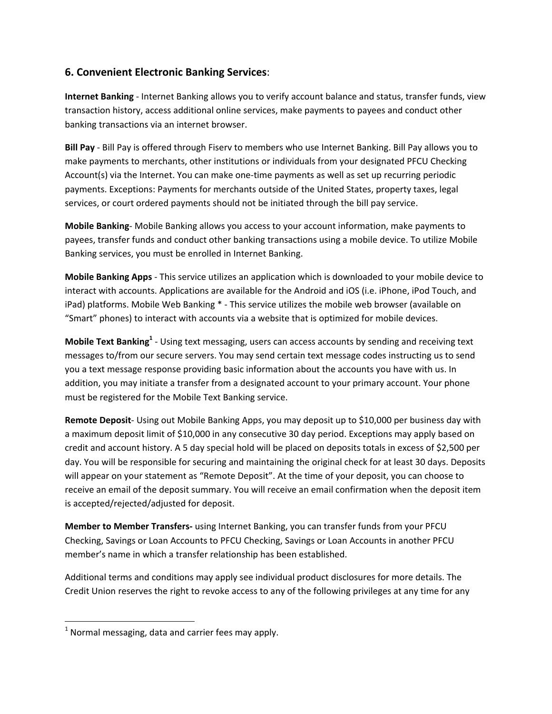## **6. Convenient Electronic Banking Services**:

**Internet Banking** ‐ Internet Banking allows you to verify account balance and status, transfer funds, view transaction history, access additional online services, make payments to payees and conduct other banking transactions via an internet browser.

**Bill Pay** ‐ Bill Pay is offered through Fiserv to members who use Internet Banking. Bill Pay allows you to make payments to merchants, other institutions or individuals from your designated PFCU Checking Account(s) via the Internet. You can make one‐time payments as well as set up recurring periodic payments. Exceptions: Payments for merchants outside of the United States, property taxes, legal services, or court ordered payments should not be initiated through the bill pay service.

**Mobile Banking**‐ Mobile Banking allows you access to your account information, make payments to payees, transfer funds and conduct other banking transactions using a mobile device. To utilize Mobile Banking services, you must be enrolled in Internet Banking.

**Mobile Banking Apps** ‐ This service utilizes an application which is downloaded to your mobile device to interact with accounts. Applications are available for the Android and iOS (i.e. iPhone, iPod Touch, and iPad) platforms. Mobile Web Banking \* - This service utilizes the mobile web browser (available on "Smart" phones) to interact with accounts via a website that is optimized for mobile devices.

**Mobile Text Banking<sup>1</sup>** ‐ Using text messaging, users can access accounts by sending and receiving text messages to/from our secure servers. You may send certain text message codes instructing us to send you a text message response providing basic information about the accounts you have with us. In addition, you may initiate a transfer from a designated account to your primary account. Your phone must be registered for the Mobile Text Banking service.

**Remote Deposit**‐ Using out Mobile Banking Apps, you may deposit up to \$10,000 per business day with a maximum deposit limit of \$10,000 in any consecutive 30 day period. Exceptions may apply based on credit and account history. A 5 day special hold will be placed on deposits totals in excess of \$2,500 per day. You will be responsible for securing and maintaining the original check for at least 30 days. Deposits will appear on your statement as "Remote Deposit". At the time of your deposit, you can choose to receive an email of the deposit summary. You will receive an email confirmation when the deposit item is accepted/rejected/adjusted for deposit.

**Member to Member Transfers‐** using Internet Banking, you can transfer funds from your PFCU Checking, Savings or Loan Accounts to PFCU Checking, Savings or Loan Accounts in another PFCU member's name in which a transfer relationship has been established.

Additional terms and conditions may apply see individual product disclosures for more details. The Credit Union reserves the right to revoke access to any of the following privileges at any time for any

 $1$  Normal messaging, data and carrier fees may apply.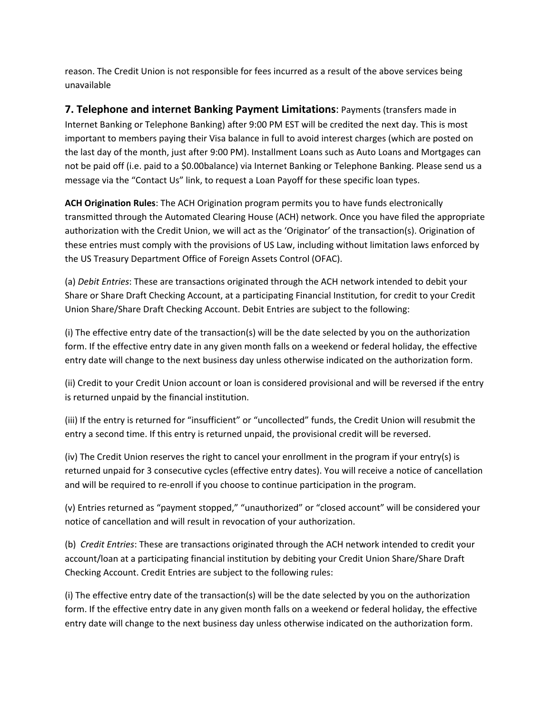reason. The Credit Union is not responsible for fees incurred as a result of the above services being unavailable

**7. Telephone and internet Banking Payment Limitations**: Payments (transfers made in Internet Banking or Telephone Banking) after 9:00 PM EST will be credited the next day. This is most important to members paying their Visa balance in full to avoid interest charges (which are posted on the last day of the month, just after 9:00 PM). Installment Loans such as Auto Loans and Mortgages can not be paid off (i.e. paid to a \$0.00balance) via Internet Banking or Telephone Banking. Please send us a message via the "Contact Us" link, to request a Loan Payoff for these specific loan types.

**ACH Origination Rules**: The ACH Origination program permits you to have funds electronically transmitted through the Automated Clearing House (ACH) network. Once you have filed the appropriate authorization with the Credit Union, we will act as the 'Originator' of the transaction(s). Origination of these entries must comply with the provisions of US Law, including without limitation laws enforced by the US Treasury Department Office of Foreign Assets Control (OFAC).

(a) *Debit Entries*: These are transactions originated through the ACH network intended to debit your Share or Share Draft Checking Account, at a participating Financial Institution, for credit to your Credit Union Share/Share Draft Checking Account. Debit Entries are subject to the following:

(i) The effective entry date of the transaction(s) will be the date selected by you on the authorization form. If the effective entry date in any given month falls on a weekend or federal holiday, the effective entry date will change to the next business day unless otherwise indicated on the authorization form.

(ii) Credit to your Credit Union account or loan is considered provisional and will be reversed if the entry is returned unpaid by the financial institution.

(iii) If the entry is returned for "insufficient" or "uncollected" funds, the Credit Union will resubmit the entry a second time. If this entry is returned unpaid, the provisional credit will be reversed.

(iv) The Credit Union reserves the right to cancel your enrollment in the program if your entry(s) is returned unpaid for 3 consecutive cycles (effective entry dates). You will receive a notice of cancellation and will be required to re-enroll if you choose to continue participation in the program.

(v) Entries returned as "payment stopped," "unauthorized" or "closed account" will be considered your notice of cancellation and will result in revocation of your authorization.

(b) *Credit Entries*: These are transactions originated through the ACH network intended to credit your account/loan at a participating financial institution by debiting your Credit Union Share/Share Draft Checking Account. Credit Entries are subject to the following rules:

(i) The effective entry date of the transaction(s) will be the date selected by you on the authorization form. If the effective entry date in any given month falls on a weekend or federal holiday, the effective entry date will change to the next business day unless otherwise indicated on the authorization form.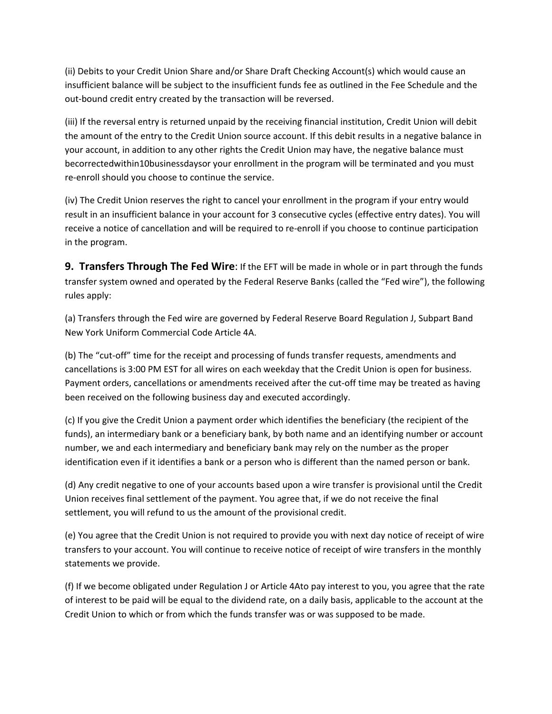(ii) Debits to your Credit Union Share and/or Share Draft Checking Account(s) which would cause an insufficient balance will be subject to the insufficient funds fee as outlined in the Fee Schedule and the out‐bound credit entry created by the transaction will be reversed.

(iii) If the reversal entry is returned unpaid by the receiving financial institution, Credit Union will debit the amount of the entry to the Credit Union source account. If this debit results in a negative balance in your account, in addition to any other rights the Credit Union may have, the negative balance must becorrectedwithin10businessdaysor your enrollment in the program will be terminated and you must re‐enroll should you choose to continue the service.

(iv) The Credit Union reserves the right to cancel your enrollment in the program if your entry would result in an insufficient balance in your account for 3 consecutive cycles (effective entry dates). You will receive a notice of cancellation and will be required to re‐enroll if you choose to continue participation in the program.

**9. Transfers Through The Fed Wire**: If the EFT will be made in whole or in part through the funds transfer system owned and operated by the Federal Reserve Banks (called the "Fed wire"), the following rules apply:

(a) Transfers through the Fed wire are governed by Federal Reserve Board Regulation J, Subpart Band New York Uniform Commercial Code Article 4A.

(b) The "cut-off" time for the receipt and processing of funds transfer requests, amendments and cancellations is 3:00 PM EST for all wires on each weekday that the Credit Union is open for business. Payment orders, cancellations or amendments received after the cut-off time may be treated as having been received on the following business day and executed accordingly.

(c) If you give the Credit Union a payment order which identifies the beneficiary (the recipient of the funds), an intermediary bank or a beneficiary bank, by both name and an identifying number or account number, we and each intermediary and beneficiary bank may rely on the number as the proper identification even if it identifies a bank or a person who is different than the named person or bank.

(d) Any credit negative to one of your accounts based upon a wire transfer is provisional until the Credit Union receives final settlement of the payment. You agree that, if we do not receive the final settlement, you will refund to us the amount of the provisional credit.

(e) You agree that the Credit Union is not required to provide you with next day notice of receipt of wire transfers to your account. You will continue to receive notice of receipt of wire transfers in the monthly statements we provide.

(f) If we become obligated under Regulation J or Article 4Ato pay interest to you, you agree that the rate of interest to be paid will be equal to the dividend rate, on a daily basis, applicable to the account at the Credit Union to which or from which the funds transfer was or was supposed to be made.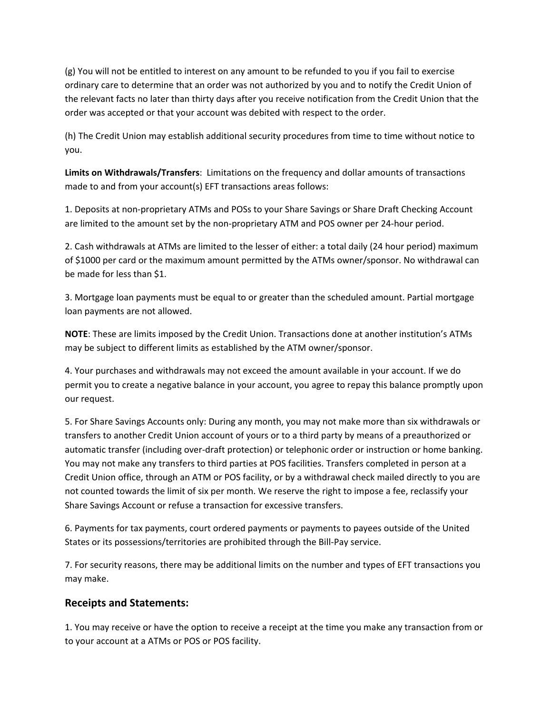(g) You will not be entitled to interest on any amount to be refunded to you if you fail to exercise ordinary care to determine that an order was not authorized by you and to notify the Credit Union of the relevant facts no later than thirty days after you receive notification from the Credit Union that the order was accepted or that your account was debited with respect to the order.

(h) The Credit Union may establish additional security procedures from time to time without notice to you.

**Limits on Withdrawals/Transfers**: Limitations on the frequency and dollar amounts of transactions made to and from your account(s) EFT transactions areas follows:

1. Deposits at non‐proprietary ATMs and POSs to your Share Savings or Share Draft Checking Account are limited to the amount set by the non‐proprietary ATM and POS owner per 24‐hour period.

2. Cash withdrawals at ATMs are limited to the lesser of either: a total daily (24 hour period) maximum of \$1000 per card or the maximum amount permitted by the ATMs owner/sponsor. No withdrawal can be made for less than \$1.

3. Mortgage loan payments must be equal to or greater than the scheduled amount. Partial mortgage loan payments are not allowed.

**NOTE**: These are limits imposed by the Credit Union. Transactions done at another institution's ATMs may be subject to different limits as established by the ATM owner/sponsor.

4. Your purchases and withdrawals may not exceed the amount available in your account. If we do permit you to create a negative balance in your account, you agree to repay this balance promptly upon our request.

5. For Share Savings Accounts only: During any month, you may not make more than six withdrawals or transfers to another Credit Union account of yours or to a third party by means of a preauthorized or automatic transfer (including over-draft protection) or telephonic order or instruction or home banking. You may not make any transfers to third parties at POS facilities. Transfers completed in person at a Credit Union office, through an ATM or POS facility, or by a withdrawal check mailed directly to you are not counted towards the limit of six per month. We reserve the right to impose a fee, reclassify your Share Savings Account or refuse a transaction for excessive transfers.

6. Payments for tax payments, court ordered payments or payments to payees outside of the United States or its possessions/territories are prohibited through the Bill-Pay service.

7. For security reasons, there may be additional limits on the number and types of EFT transactions you may make.

## **Receipts and Statements:**

1. You may receive or have the option to receive a receipt at the time you make any transaction from or to your account at a ATMs or POS or POS facility.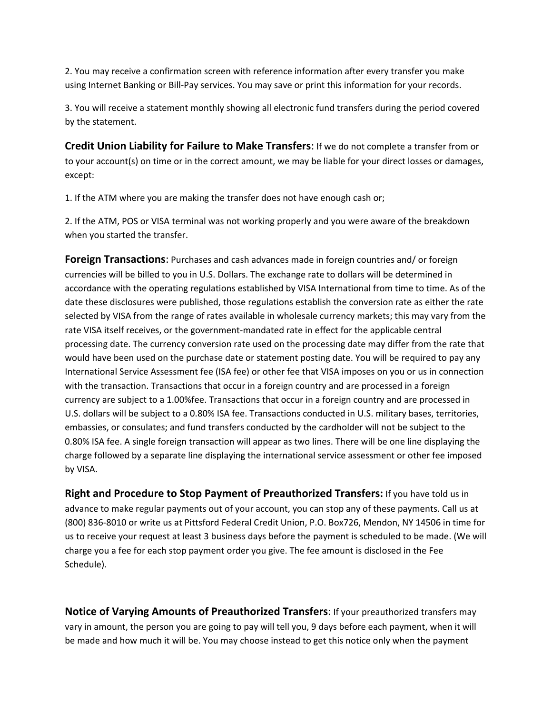2. You may receive a confirmation screen with reference information after every transfer you make using Internet Banking or Bill‐Pay services. You may save or print this information for your records.

3. You will receive a statement monthly showing all electronic fund transfers during the period covered by the statement.

**Credit Union Liability for Failure to Make Transfers**: If we do not complete a transfer from or to your account(s) on time or in the correct amount, we may be liable for your direct losses or damages, except:

1. If the ATM where you are making the transfer does not have enough cash or;

2. If the ATM, POS or VISA terminal was not working properly and you were aware of the breakdown when you started the transfer.

**Foreign Transactions**: Purchases and cash advances made in foreign countries and/ or foreign currencies will be billed to you in U.S. Dollars. The exchange rate to dollars will be determined in accordance with the operating regulations established by VISA International from time to time. As of the date these disclosures were published, those regulations establish the conversion rate as either the rate selected by VISA from the range of rates available in wholesale currency markets; this may vary from the rate VISA itself receives, or the government-mandated rate in effect for the applicable central processing date. The currency conversion rate used on the processing date may differ from the rate that would have been used on the purchase date or statement posting date. You will be required to pay any International Service Assessment fee (ISA fee) or other fee that VISA imposes on you or us in connection with the transaction. Transactions that occur in a foreign country and are processed in a foreign currency are subject to a 1.00%fee. Transactions that occur in a foreign country and are processed in U.S. dollars will be subject to a 0.80% ISA fee. Transactions conducted in U.S. military bases, territories, embassies, or consulates; and fund transfers conducted by the cardholder will not be subject to the 0.80% ISA fee. A single foreign transaction will appear as two lines. There will be one line displaying the charge followed by a separate line displaying the international service assessment or other fee imposed by VISA.

**Right and Procedure to Stop Payment of Preauthorized Transfers:** If you have told us in advance to make regular payments out of your account, you can stop any of these payments. Call us at (800) 836‐8010 or write us at Pittsford Federal Credit Union, P.O. Box726, Mendon, NY 14506 in time for us to receive your request at least 3 business days before the payment is scheduled to be made. (We will charge you a fee for each stop payment order you give. The fee amount is disclosed in the Fee Schedule).

**Notice of Varying Amounts of Preauthorized Transfers**: If your preauthorized transfers may vary in amount, the person you are going to pay will tell you, 9 days before each payment, when it will be made and how much it will be. You may choose instead to get this notice only when the payment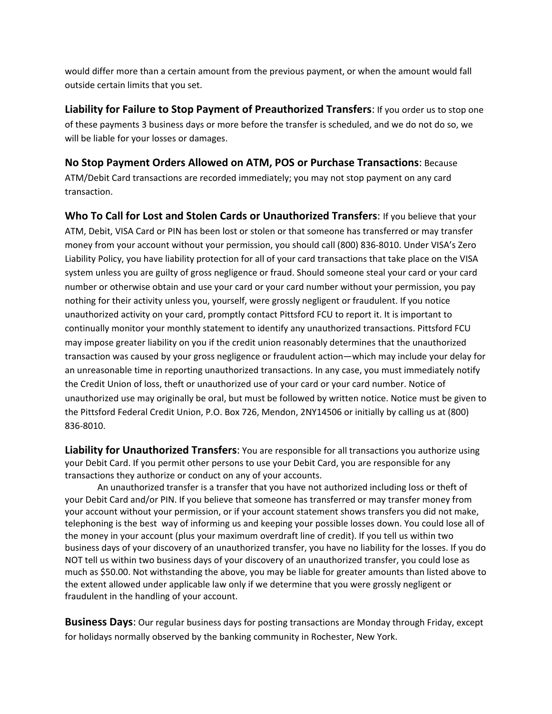would differ more than a certain amount from the previous payment, or when the amount would fall outside certain limits that you set.

**Liability for Failure to Stop Payment of Preauthorized Transfers**: If you order us to stop one of these payments 3 business days or more before the transfer is scheduled, and we do not do so, we will be liable for your losses or damages.

**No Stop Payment Orders Allowed on ATM, POS or Purchase Transactions**: Because ATM/Debit Card transactions are recorded immediately; you may not stop payment on any card transaction.

**Who To Call for Lost and Stolen Cards or Unauthorized Transfers**: If you believe that your ATM, Debit, VISA Card or PIN has been lost or stolen or that someone has transferred or may transfer money from your account without your permission, you should call (800) 836‐8010. Under VISA's Zero Liability Policy, you have liability protection for all of your card transactions that take place on the VISA system unless you are guilty of gross negligence or fraud. Should someone steal your card or your card number or otherwise obtain and use your card or your card number without your permission, you pay nothing for their activity unless you, yourself, were grossly negligent or fraudulent. If you notice unauthorized activity on your card, promptly contact Pittsford FCU to report it. It is important to continually monitor your monthly statement to identify any unauthorized transactions. Pittsford FCU may impose greater liability on you if the credit union reasonably determines that the unauthorized transaction was caused by your gross negligence or fraudulent action—which may include your delay for an unreasonable time in reporting unauthorized transactions. In any case, you must immediately notify the Credit Union of loss, theft or unauthorized use of your card or your card number. Notice of unauthorized use may originally be oral, but must be followed by written notice. Notice must be given to the Pittsford Federal Credit Union, P.O. Box 726, Mendon, 2NY14506 or initially by calling us at (800) 836‐8010.

**Liability for Unauthorized Transfers**: You are responsible for all transactions you authorize using your Debit Card. If you permit other persons to use your Debit Card, you are responsible for any transactions they authorize or conduct on any of your accounts.

An unauthorized transfer is a transfer that you have not authorized including loss or theft of your Debit Card and/or PIN. If you believe that someone has transferred or may transfer money from your account without your permission, or if your account statement shows transfers you did not make, telephoning is the best way of informing us and keeping your possible losses down. You could lose all of the money in your account (plus your maximum overdraft line of credit). If you tell us within two business days of your discovery of an unauthorized transfer, you have no liability for the losses. If you do NOT tell us within two business days of your discovery of an unauthorized transfer, you could lose as much as \$50.00. Not withstanding the above, you may be liable for greater amounts than listed above to the extent allowed under applicable law only if we determine that you were grossly negligent or fraudulent in the handling of your account.

**Business Days**: Our regular business days for posting transactions are Monday through Friday, except for holidays normally observed by the banking community in Rochester, New York.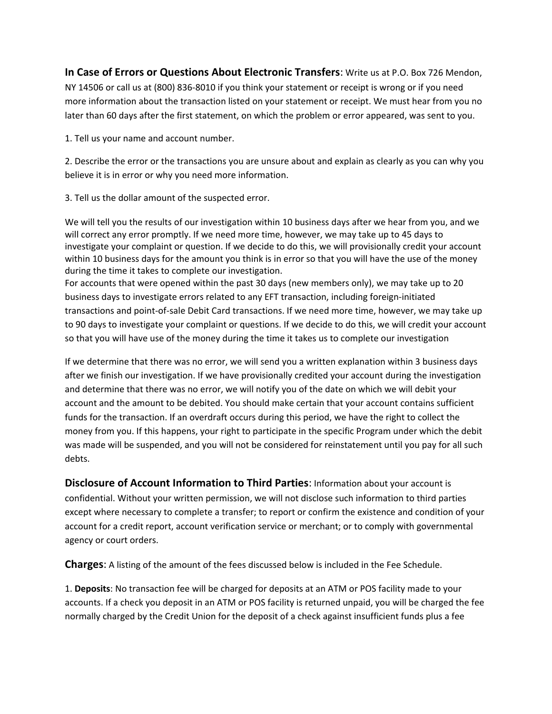**In Case of Errors or Questions About Electronic Transfers**: Write us at P.O. Box 726 Mendon, NY 14506 or call us at (800) 836‐8010 if you think your statement or receipt is wrong or if you need more information about the transaction listed on your statement or receipt. We must hear from you no later than 60 days after the first statement, on which the problem or error appeared, was sent to you.

1. Tell us your name and account number.

2. Describe the error or the transactions you are unsure about and explain as clearly as you can why you believe it is in error or why you need more information.

3. Tell us the dollar amount of the suspected error.

We will tell you the results of our investigation within 10 business days after we hear from you, and we will correct any error promptly. If we need more time, however, we may take up to 45 days to investigate your complaint or question. If we decide to do this, we will provisionally credit your account within 10 business days for the amount you think is in error so that you will have the use of the money during the time it takes to complete our investigation.

For accounts that were opened within the past 30 days (new members only), we may take up to 20 business days to investigate errors related to any EFT transaction, including foreign-initiated transactions and point‐of‐sale Debit Card transactions. If we need more time, however, we may take up to 90 days to investigate your complaint or questions. If we decide to do this, we will credit your account so that you will have use of the money during the time it takes us to complete our investigation

If we determine that there was no error, we will send you a written explanation within 3 business days after we finish our investigation. If we have provisionally credited your account during the investigation and determine that there was no error, we will notify you of the date on which we will debit your account and the amount to be debited. You should make certain that your account contains sufficient funds for the transaction. If an overdraft occurs during this period, we have the right to collect the money from you. If this happens, your right to participate in the specific Program under which the debit was made will be suspended, and you will not be considered for reinstatement until you pay for all such debts.

**Disclosure of Account Information to Third Parties**: Information about your account is confidential. Without your written permission, we will not disclose such information to third parties except where necessary to complete a transfer; to report or confirm the existence and condition of your account for a credit report, account verification service or merchant; or to comply with governmental agency or court orders.

**Charges**: A listing of the amount of the fees discussed below is included in the Fee Schedule.

1. **Deposits**: No transaction fee will be charged for deposits at an ATM or POS facility made to your accounts. If a check you deposit in an ATM or POS facility is returned unpaid, you will be charged the fee normally charged by the Credit Union for the deposit of a check against insufficient funds plus a fee